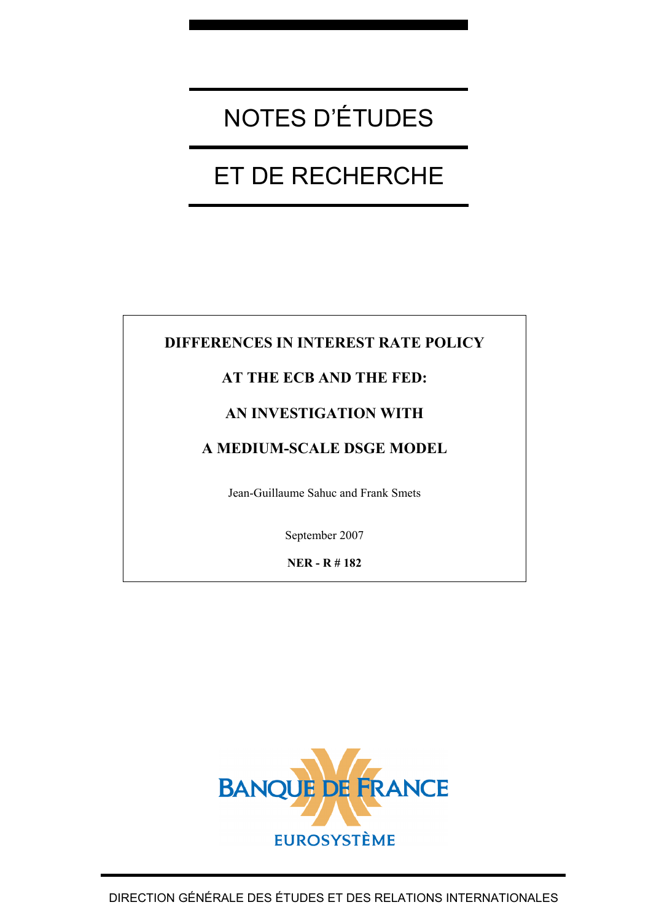# NOTES D'ÉTUDES

# ET DE RECHERCHE

# **DIFFERENCES IN INTEREST RATE POLICY**

# **AT THE ECB AND THE FED:**

# **AN INVESTIGATION WITH**

# **A MEDIUM-SCALE DSGE MODEL**

Jean-Guillaume Sahuc and Frank Smets

September 2007

**NER - R # 182** 

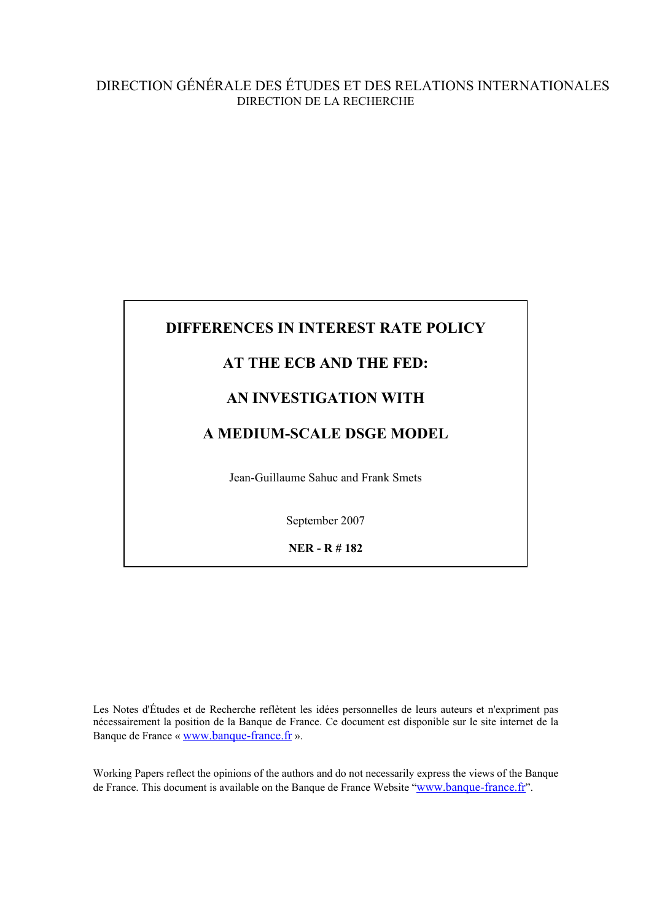#### DIRECTION GÉNÉRALE DES ÉTUDES ET DES RELATIONS INTERNATIONALES DIRECTION DE LA RECHERCHE

# **DIFFERENCES IN INTEREST RATE POLICY**

### **AT THE ECB AND THE FED:**

#### **AN INVESTIGATION WITH**

#### **A MEDIUM-SCALE DSGE MODEL**

Jean-Guillaume Sahuc and Frank Smets

September 2007

**NER - R # 182** 

Les Notes d'Études et de Recherche reflètent les idées personnelles de leurs auteurs et n'expriment pas nécessairement la position de la Banque de France. Ce document est disponible sur le site internet de la Banque de France « [www.banque-france.fr](http://www.banque-france.fr/) ».

Working Papers reflect the opinions of the authors and do not necessarily express the views of the Banque de France. This document is available on the Banque de France Website "[www.banque-france.fr](http://www.banque-france.fr/)".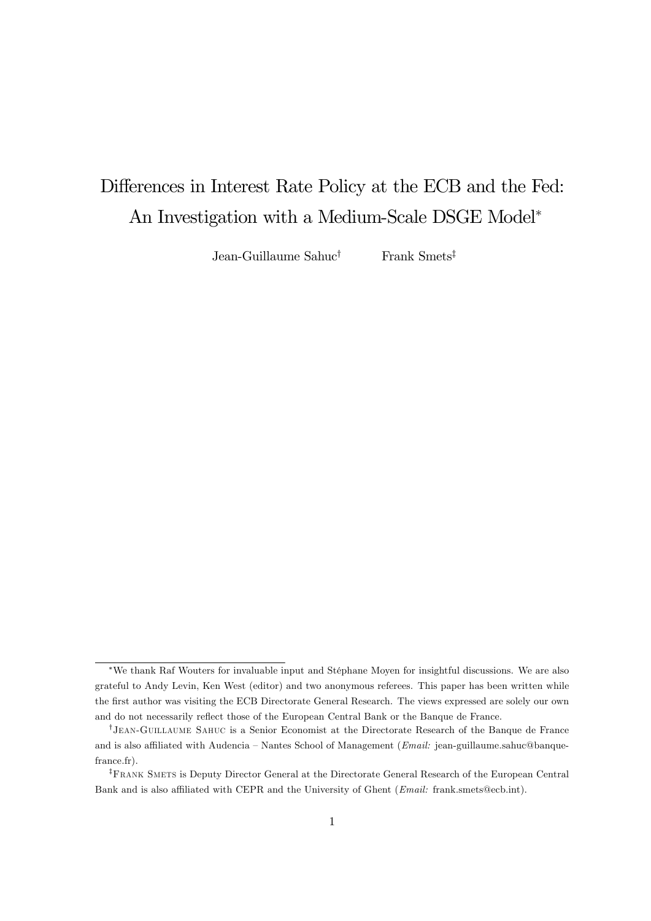# Differences in Interest Rate Policy at the ECB and the Fed: An Investigation with a Medium-Scale DSGE Model<sup>∗</sup>

Jean-Guillaume Sahuc† Frank Smets‡

<sup>∗</sup>We thank Raf Wouters for invaluable input and Stéphane Moyen for insightful discussions. We are also grateful to Andy Levin, Ken West (editor) and two anonymous referees. This paper has been written while the first author was visiting the ECB Directorate General Research. The views expressed are solely our own and do not necessarily reflect those of the European Central Bank or the Banque de France.

<sup>&</sup>lt;sup>†</sup>JEAN-GUILLAUME SAHUC is a Senior Economist at the Directorate Research of the Banque de France and is also affiliated with Audencia – Nantes School of Management (*Email:* jean-guillaume.sahuc@banquefrance.fr).

<sup>&</sup>lt;sup>‡</sup>FRANK SMETS is Deputy Director General at the Directorate General Research of the European Central Bank and is also affiliated with CEPR and the University of Ghent (Email: frank.smets@ecb.int).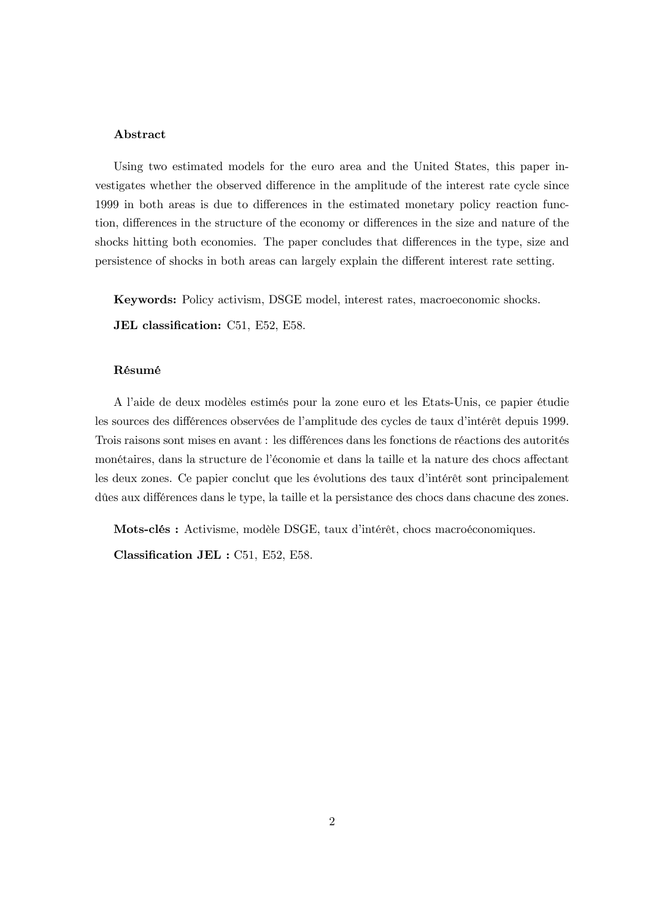#### Abstract

Using two estimated models for the euro area and the United States, this paper investigates whether the observed difference in the amplitude of the interest rate cycle since 1999 in both areas is due to differences in the estimated monetary policy reaction function, differences in the structure of the economy or differences in the size and nature of the shocks hitting both economies. The paper concludes that differences in the type, size and persistence of shocks in both areas can largely explain the different interest rate setting.

Keywords: Policy activism, DSGE model, interest rates, macroeconomic shocks. JEL classification: C51, E52, E58.

#### Résumé

A l'aide de deux modèles estimés pour la zone euro et les Etats-Unis, ce papier étudie les sources des différences observées de l'amplitude des cycles de taux d'intérêt depuis 1999. Trois raisons sont mises en avant : les différences dans les fonctions de réactions des autorités monétaires, dans la structure de l'économie et dans la taille et la nature des chocs affectant les deux zones. Ce papier conclut que les évolutions des taux d'intérêt sont principalement dûes aux différences dans le type, la taille et la persistance des chocs dans chacune des zones.

Mots-clés : Activisme, modèle DSGE, taux d'intérêt, chocs macroéconomiques.

Classification JEL : C51, E52, E58.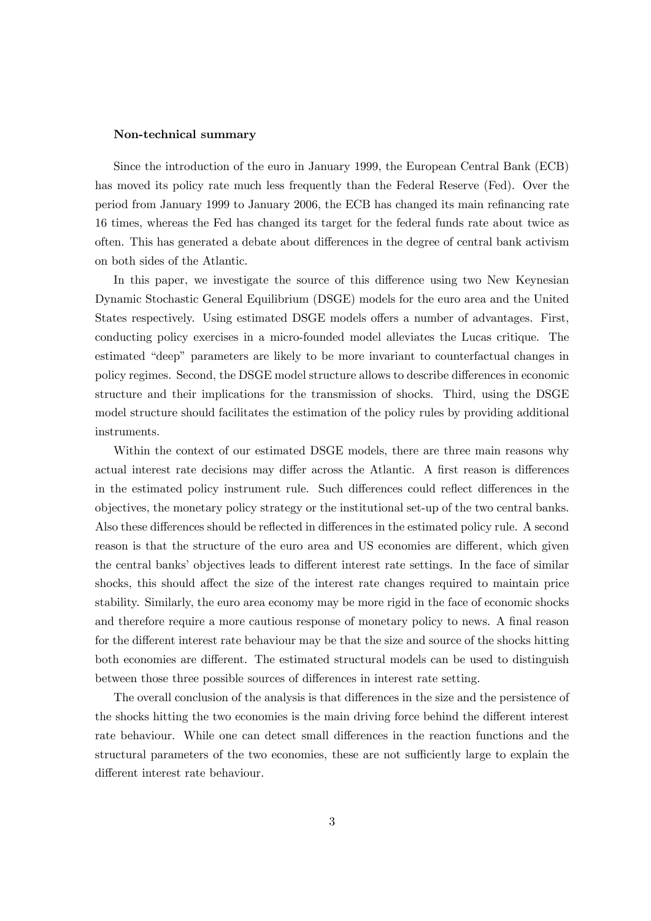#### Non-technical summary

Since the introduction of the euro in January 1999, the European Central Bank (ECB) has moved its policy rate much less frequently than the Federal Reserve (Fed). Over the period from January 1999 to January 2006, the ECB has changed its main refinancing rate 16 times, whereas the Fed has changed its target for the federal funds rate about twice as often. This has generated a debate about differences in the degree of central bank activism on both sides of the Atlantic.

In this paper, we investigate the source of this difference using two New Keynesian Dynamic Stochastic General Equilibrium (DSGE) models for the euro area and the United States respectively. Using estimated DSGE models offers a number of advantages. First, conducting policy exercises in a micro-founded model alleviates the Lucas critique. The estimated "deep" parameters are likely to be more invariant to counterfactual changes in policy regimes. Second, the DSGE model structure allows to describe differences in economic structure and their implications for the transmission of shocks. Third, using the DSGE model structure should facilitates the estimation of the policy rules by providing additional instruments.

Within the context of our estimated DSGE models, there are three main reasons why actual interest rate decisions may differ across the Atlantic. A first reason is differences in the estimated policy instrument rule. Such differences could reflect differences in the objectives, the monetary policy strategy or the institutional set-up of the two central banks. Also these differences should be reflected in differences in the estimated policy rule. A second reason is that the structure of the euro area and US economies are different, which given the central banks' objectives leads to different interest rate settings. In the face of similar shocks, this should affect the size of the interest rate changes required to maintain price stability. Similarly, the euro area economy may be more rigid in the face of economic shocks and therefore require a more cautious response of monetary policy to news. A final reason for the different interest rate behaviour may be that the size and source of the shocks hitting both economies are different. The estimated structural models can be used to distinguish between those three possible sources of differences in interest rate setting.

The overall conclusion of the analysis is that differences in the size and the persistence of the shocks hitting the two economies is the main driving force behind the different interest rate behaviour. While one can detect small differences in the reaction functions and the structural parameters of the two economies, these are not sufficiently large to explain the different interest rate behaviour.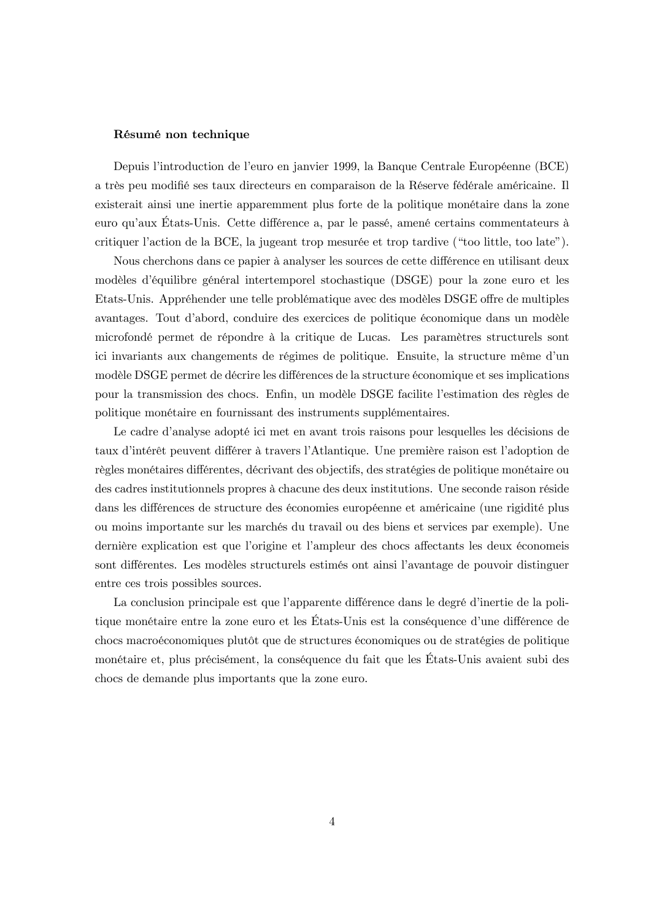#### Résumé non technique

Depuis l'introduction de l'euro en janvier 1999, la Banque Centrale Européenne (BCE) a très peu modifié ses taux directeurs en comparaison de la Réserve fédérale américaine. Il existerait ainsi une inertie apparemment plus forte de la politique monétaire dans la zone euro qu'aux États-Unis. Cette différence a, par le passé, amené certains commentateurs à critiquer l'action de la BCE, la jugeant trop mesurée et trop tardive ("too little, too late").

Nous cherchons dans ce papier à analyser les sources de cette différence en utilisant deux modèles d'équilibre général intertemporel stochastique (DSGE) pour la zone euro et les Etats-Unis. Appréhender une telle problématique avec des modèles DSGE offre de multiples avantages. Tout d'abord, conduire des exercices de politique économique dans un modèle microfondé permet de répondre à la critique de Lucas. Les paramètres structurels sont ici invariants aux changements de régimes de politique. Ensuite, la structure même d'un modèle DSGE permet de décrire les différences de la structure économique et ses implications pour la transmission des chocs. Enfin, un modèle DSGE facilite l'estimation des règles de politique monétaire en fournissant des instruments supplémentaires.

Le cadre d'analyse adopté ici met en avant trois raisons pour lesquelles les décisions de taux d'intérêt peuvent différer à travers l'Atlantique. Une première raison est l'adoption de règles monétaires différentes, décrivant des objectifs, des stratégies de politique monétaire ou des cadres institutionnels propres à chacune des deux institutions. Une seconde raison réside dans les différences de structure des économies européenne et américaine (une rigidité plus ou moins importante sur les marchés du travail ou des biens et services par exemple). Une dernière explication est que l'origine et l'ampleur des chocs affectants les deux économeis sont différentes. Les modèles structurels estimés ont ainsi l'avantage de pouvoir distinguer entre ces trois possibles sources.

La conclusion principale est que l'apparente différence dans le degré d'inertie de la politique monétaire entre la zone euro et les États-Unis est la conséquence d'une différence de chocs macroéconomiques plutôt que de structures économiques ou de stratégies de politique monétaire et, plus précisément, la conséquence du fait que les États-Unis avaient subi des chocs de demande plus importants que la zone euro.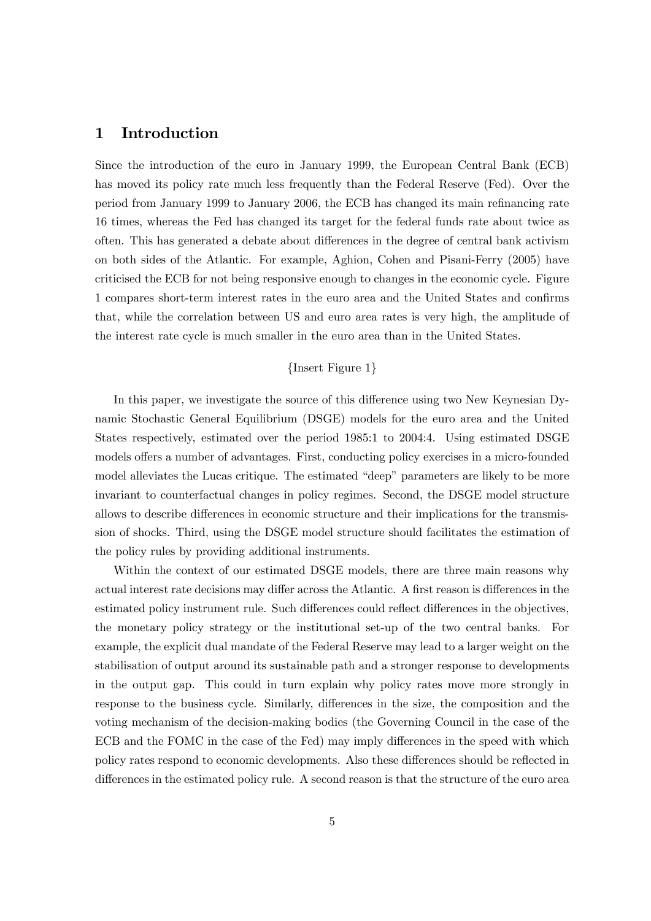#### 1 Introduction

Since the introduction of the euro in January 1999, the European Central Bank (ECB) has moved its policy rate much less frequently than the Federal Reserve (Fed). Over the period from January 1999 to January 2006, the ECB has changed its main refinancing rate 16 times, whereas the Fed has changed its target for the federal funds rate about twice as often. This has generated a debate about differences in the degree of central bank activism on both sides of the Atlantic. For example, Aghion, Cohen and Pisani-Ferry (2005) have criticised the ECB for not being responsive enough to changes in the economic cycle. Figure 1 compares short-term interest rates in the euro area and the United States and confirms that, while the correlation between US and euro area rates is very high, the amplitude of the interest rate cycle is much smaller in the euro area than in the United States.

#### {Insert Figure 1}

In this paper, we investigate the source of this difference using two New Keynesian Dynamic Stochastic General Equilibrium (DSGE) models for the euro area and the United States respectively, estimated over the period 1985:1 to 2004:4. Using estimated DSGE models offers a number of advantages. First, conducting policy exercises in a micro-founded model alleviates the Lucas critique. The estimated "deep" parameters are likely to be more invariant to counterfactual changes in policy regimes. Second, the DSGE model structure allows to describe differences in economic structure and their implications for the transmission of shocks. Third, using the DSGE model structure should facilitates the estimation of the policy rules by providing additional instruments.

Within the context of our estimated DSGE models, there are three main reasons why actual interest rate decisions may differ across the Atlantic. A first reason is differences in the estimated policy instrument rule. Such differences could reflect differences in the objectives, the monetary policy strategy or the institutional set-up of the two central banks. For example, the explicit dual mandate of the Federal Reserve may lead to a larger weight on the stabilisation of output around its sustainable path and a stronger response to developments in the output gap. This could in turn explain why policy rates move more strongly in response to the business cycle. Similarly, differences in the size, the composition and the voting mechanism of the decision-making bodies (the Governing Council in the case of the ECB and the FOMC in the case of the Fed) may imply differences in the speed with which policy rates respond to economic developments. Also these differences should be reflected in differences in the estimated policy rule. A second reason is that the structure of the euro area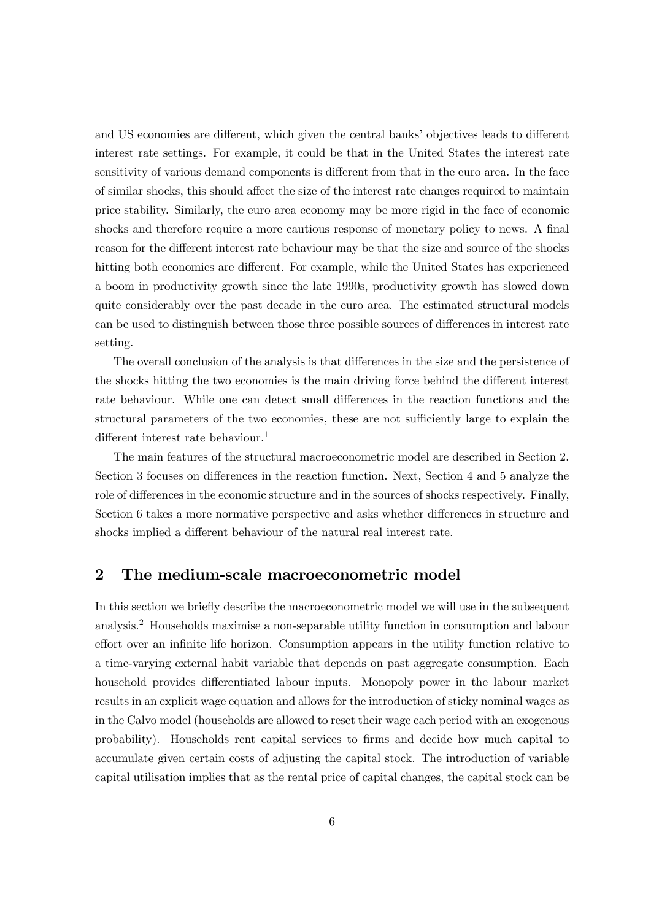and US economies are different, which given the central banks' objectives leads to different interest rate settings. For example, it could be that in the United States the interest rate sensitivity of various demand components is different from that in the euro area. In the face of similar shocks, this should affect the size of the interest rate changes required to maintain price stability. Similarly, the euro area economy may be more rigid in the face of economic shocks and therefore require a more cautious response of monetary policy to news. A final reason for the different interest rate behaviour may be that the size and source of the shocks hitting both economies are different. For example, while the United States has experienced a boom in productivity growth since the late 1990s, productivity growth has slowed down quite considerably over the past decade in the euro area. The estimated structural models can be used to distinguish between those three possible sources of differences in interest rate setting.

The overall conclusion of the analysis is that differences in the size and the persistence of the shocks hitting the two economies is the main driving force behind the different interest rate behaviour. While one can detect small differences in the reaction functions and the structural parameters of the two economies, these are not sufficiently large to explain the different interest rate behaviour.<sup>1</sup>

The main features of the structural macroeconometric model are described in Section 2. Section 3 focuses on differences in the reaction function. Next, Section 4 and 5 analyze the role of differences in the economic structure and in the sources of shocks respectively. Finally, Section 6 takes a more normative perspective and asks whether differences in structure and shocks implied a different behaviour of the natural real interest rate.

#### 2 The medium-scale macroeconometric model

In this section we briefly describe the macroeconometric model we will use in the subsequent analysis.<sup>2</sup> Households maximise a non-separable utility function in consumption and labour effort over an infinite life horizon. Consumption appears in the utility function relative to a time-varying external habit variable that depends on past aggregate consumption. Each household provides differentiated labour inputs. Monopoly power in the labour market results in an explicit wage equation and allows for the introduction of sticky nominal wages as in the Calvo model (households are allowed to reset their wage each period with an exogenous probability). Households rent capital services to firms and decide how much capital to accumulate given certain costs of adjusting the capital stock. The introduction of variable capital utilisation implies that as the rental price of capital changes, the capital stock can be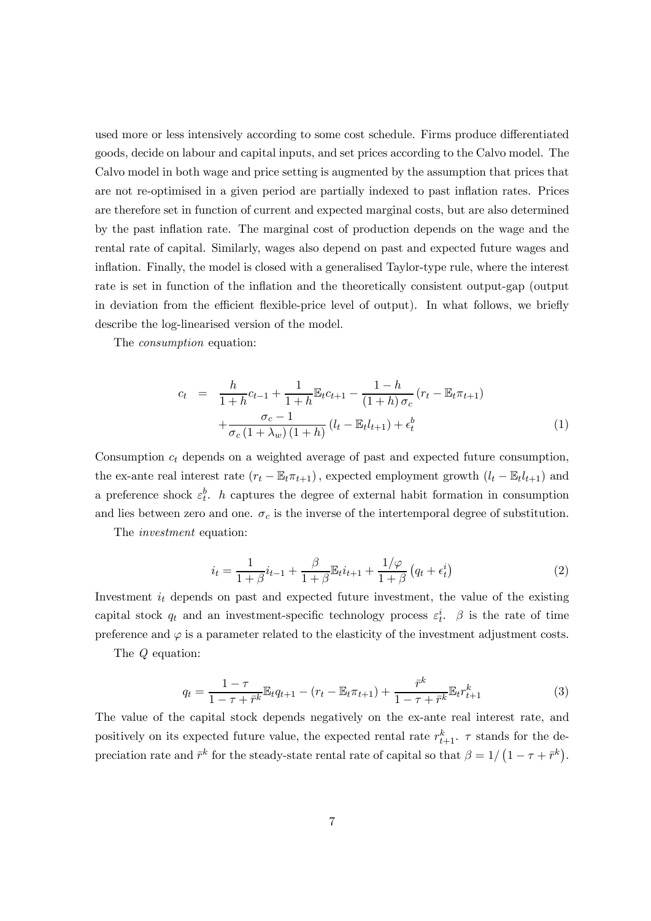used more or less intensively according to some cost schedule. Firms produce differentiated goods, decide on labour and capital inputs, and set prices according to the Calvo model. The Calvo model in both wage and price setting is augmented by the assumption that prices that are not re-optimised in a given period are partially indexed to past inflation rates. Prices are therefore set in function of current and expected marginal costs, but are also determined by the past inflation rate. The marginal cost of production depends on the wage and the rental rate of capital. Similarly, wages also depend on past and expected future wages and inflation. Finally, the model is closed with a generalised Taylor-type rule, where the interest rate is set in function of the inflation and the theoretically consistent output-gap (output in deviation from the efficient flexible-price level of output). In what follows, we briefly describe the log-linearised version of the model.

The *consumption* equation:

$$
c_{t} = \frac{h}{1+h}c_{t-1} + \frac{1}{1+h}\mathbb{E}_{t}c_{t+1} - \frac{1-h}{(1+h)\sigma_{c}}(r_{t} - \mathbb{E}_{t}\pi_{t+1}) + \frac{\sigma_{c}-1}{\sigma_{c}(1+\lambda_{w})(1+h)}(l_{t} - \mathbb{E}_{t}l_{t+1}) + \epsilon_{t}^{b}
$$
\n(1)

Consumption  $c_t$  depends on a weighted average of past and expected future consumption, the ex-ante real interest rate  $(r_t - \mathbb{E}_t \pi_{t+1})$ , expected employment growth  $(l_t - \mathbb{E}_t l_{t+1})$  and a preference shock  $\varepsilon_t^b$ . h captures the degree of external habit formation in consumption and lies between zero and one.  $\sigma_c$  is the inverse of the intertemporal degree of substitution.

The investment equation:

$$
i_t = \frac{1}{1+\beta}i_{t-1} + \frac{\beta}{1+\beta}\mathbb{E}_t i_{t+1} + \frac{1/\varphi}{1+\beta}(q_t + \epsilon_t^i)
$$
\n
$$
\tag{2}
$$

Investment  $i_t$  depends on past and expected future investment, the value of the existing capital stock  $q_t$  and an investment-specific technology process  $\varepsilon_t^i$ .  $\beta$  is the rate of time preference and  $\varphi$  is a parameter related to the elasticity of the investment adjustment costs.

The Q equation:

$$
q_t = \frac{1 - \tau}{1 - \tau + \bar{r}^k} \mathbb{E}_t q_{t+1} - (r_t - \mathbb{E}_t \pi_{t+1}) + \frac{\bar{r}^k}{1 - \tau + \bar{r}^k} \mathbb{E}_t r_{t+1}^k
$$
(3)

The value of the capital stock depends negatively on the ex-ante real interest rate, and positively on its expected future value, the expected rental rate  $r_{t+1}^k$ .  $\tau$  stands for the depreciation rate and  $\bar{r}^k$  for the steady-state rental rate of capital so that  $\beta = 1/(1 - \tau + \bar{r}^k)$ .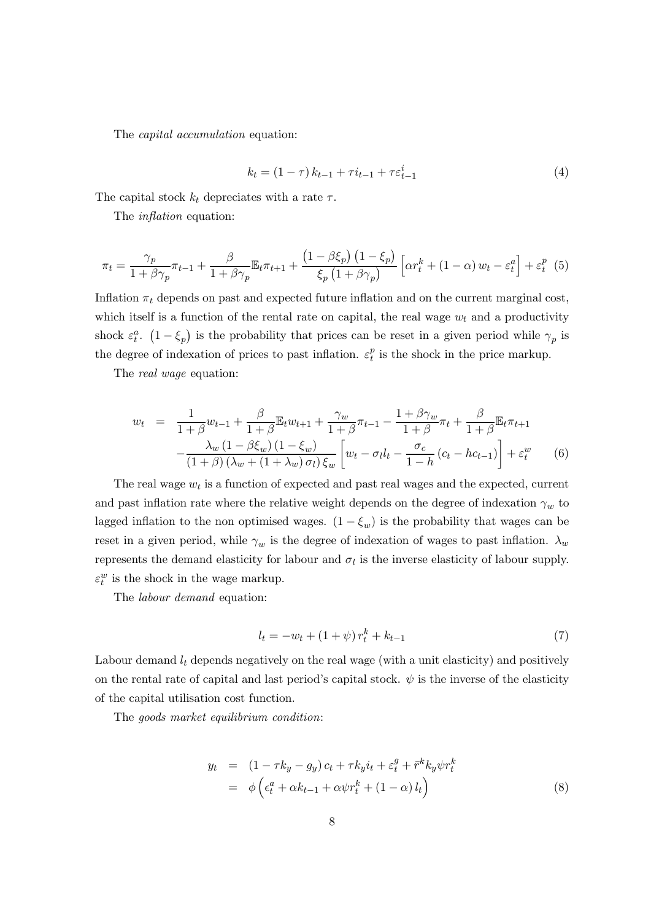The *capital accumulation* equation:

$$
k_t = (1 - \tau) k_{t-1} + \tau i_{t-1} + \tau \varepsilon_{t-1}^i \tag{4}
$$

The capital stock  $k_t$  depreciates with a rate  $\tau$ .

The *inflation* equation:

$$
\pi_t = \frac{\gamma_p}{1 + \beta \gamma_p} \pi_{t-1} + \frac{\beta}{1 + \beta \gamma_p} \mathbb{E}_t \pi_{t+1} + \frac{\left(1 - \beta \xi_p\right) \left(1 - \xi_p\right)}{\xi_p \left(1 + \beta \gamma_p\right)} \left[\alpha r_t^k + \left(1 - \alpha\right) w_t - \varepsilon_t^a\right] + \varepsilon_t^p \tag{5}
$$

Inflation  $\pi_t$  depends on past and expected future inflation and on the current marginal cost, which itself is a function of the rental rate on capital, the real wage  $w_t$  and a productivity shock  $\varepsilon_t^a$ .  $(1-\xi_p)$  is the probability that prices can be reset in a given period while  $\gamma_p$  is the degree of indexation of prices to past inflation.  $\varepsilon_t^p$  is the shock in the price markup.

The *real* wage equation:

$$
w_{t} = \frac{1}{1+\beta}w_{t-1} + \frac{\beta}{1+\beta}\mathbb{E}_{t}w_{t+1} + \frac{\gamma_{w}}{1+\beta}\pi_{t-1} - \frac{1+\beta\gamma_{w}}{1+\beta}\pi_{t} + \frac{\beta}{1+\beta}\mathbb{E}_{t}\pi_{t+1} - \frac{\lambda_{w}(1-\beta\xi_{w})(1-\xi_{w})}{(1+\beta)(\lambda_{w}+(1+\lambda_{w})\sigma_{l})\xi_{w}}\left[w_{t}-\sigma_{l}l_{t} - \frac{\sigma_{c}}{1-h}(c_{t}-hc_{t-1})\right] + \varepsilon_{t}^{w}
$$
(6)

The real wage  $w_t$  is a function of expected and past real wages and the expected, current and past inflation rate where the relative weight depends on the degree of indexation  $\gamma_w$  to lagged inflation to the non optimised wages.  $(1 - \xi_w)$  is the probability that wages can be reset in a given period, while  $\gamma_w$  is the degree of indexation of wages to past inflation.  $\lambda_w$ represents the demand elasticity for labour and  $\sigma_l$  is the inverse elasticity of labour supply.  $\varepsilon_t^w$  is the shock in the wage markup.

The *labour* demand equation:

$$
l_t = -w_t + (1 + \psi) r_t^k + k_{t-1}
$$
\n(7)

Labour demand  $l_t$  depends negatively on the real wage (with a unit elasticity) and positively on the rental rate of capital and last period's capital stock.  $\psi$  is the inverse of the elasticity of the capital utilisation cost function.

The goods market equilibrium condition:

$$
y_t = (1 - \tau k_y - g_y) c_t + \tau k_y i_t + \varepsilon_t^g + \bar{r}^k k_y \psi r_t^k
$$
  
=  $\phi \left( \epsilon_t^a + \alpha k_{t-1} + \alpha \psi r_t^k + (1 - \alpha) l_t \right)$  (8)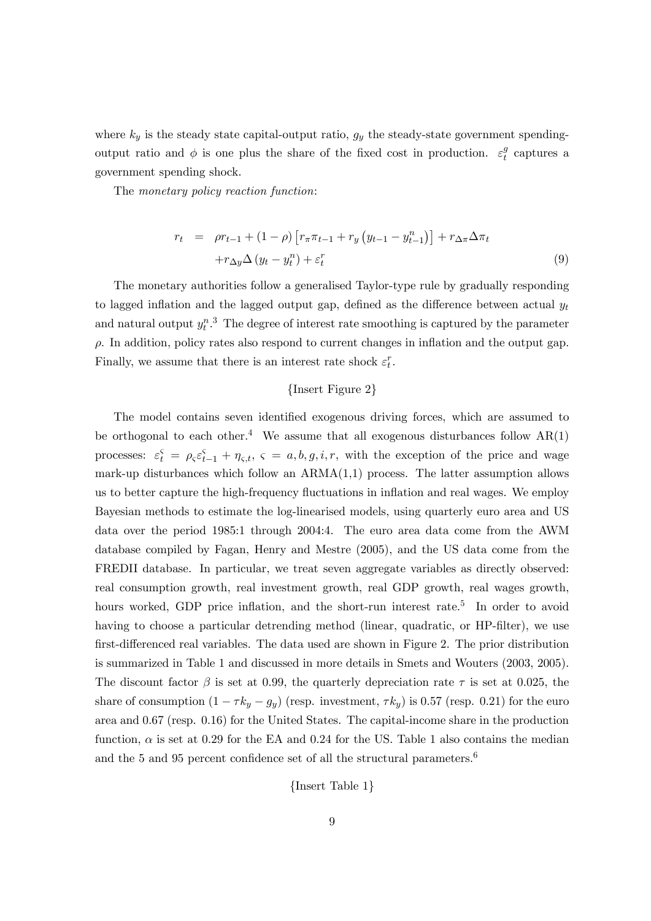where  $k_y$  is the steady state capital-output ratio,  $g_y$  the steady-state government spendingoutput ratio and  $\phi$  is one plus the share of the fixed cost in production.  $\varepsilon_t^g$  captures a government spending shock.

The monetary policy reaction function:

$$
r_t = \rho r_{t-1} + (1 - \rho) \left[ r_{\pi} \pi_{t-1} + r_y \left( y_{t-1} - y_{t-1}^n \right) \right] + r_{\Delta \pi} \Delta \pi_t
$$
  
+
$$
r_{\Delta y} \Delta \left( y_t - y_t^n \right) + \varepsilon_t^r
$$
 (9)

The monetary authorities follow a generalised Taylor-type rule by gradually responding to lagged inflation and the lagged output gap, defined as the difference between actual  $y_t$ and natural output  $y_t^n$ .<sup>3</sup> The degree of interest rate smoothing is captured by the parameter  $\rho$ . In addition, policy rates also respond to current changes in inflation and the output gap. Finally, we assume that there is an interest rate shock  $\varepsilon_t^r.$ 

#### {Insert Figure 2}

The model contains seven identified exogenous driving forces, which are assumed to be orthogonal to each other.<sup>4</sup> We assume that all exogenous disturbances follow  $AR(1)$ processes:  $\varepsilon_t^{\varsigma} = \rho_{\varsigma} \varepsilon_{t-1}^{\varsigma} + \eta_{\varsigma,t}$ ,  $\varsigma = a, b, g, i, r$ , with the exception of the price and wage mark-up disturbances which follow an  $ARMA(1,1)$  process. The latter assumption allows us to better capture the high-frequency fluctuations in inflation and real wages. We employ Bayesian methods to estimate the log-linearised models, using quarterly euro area and US data over the period 1985:1 through 2004:4. The euro area data come from the AWM database compiled by Fagan, Henry and Mestre (2005), and the US data come from the FREDII database. In particular, we treat seven aggregate variables as directly observed: real consumption growth, real investment growth, real GDP growth, real wages growth, hours worked, GDP price inflation, and the short-run interest rate.<sup>5</sup> In order to avoid having to choose a particular detrending method (linear, quadratic, or HP-filter), we use first-differenced real variables. The data used are shown in Figure 2. The prior distribution is summarized in Table 1 and discussed in more details in Smets and Wouters (2003, 2005). The discount factor  $\beta$  is set at 0.99, the quarterly depreciation rate  $\tau$  is set at 0.025, the share of consumption  $(1 - \tau k_y - g_y)$  (resp. investment,  $\tau k_y$ ) is 0.57 (resp. 0.21) for the euro area and 0.67 (resp. 0.16) for the United States. The capital-income share in the production function,  $\alpha$  is set at 0.29 for the EA and 0.24 for the US. Table 1 also contains the median and the 5 and 95 percent confidence set of all the structural parameters.<sup>6</sup>

{Insert Table 1}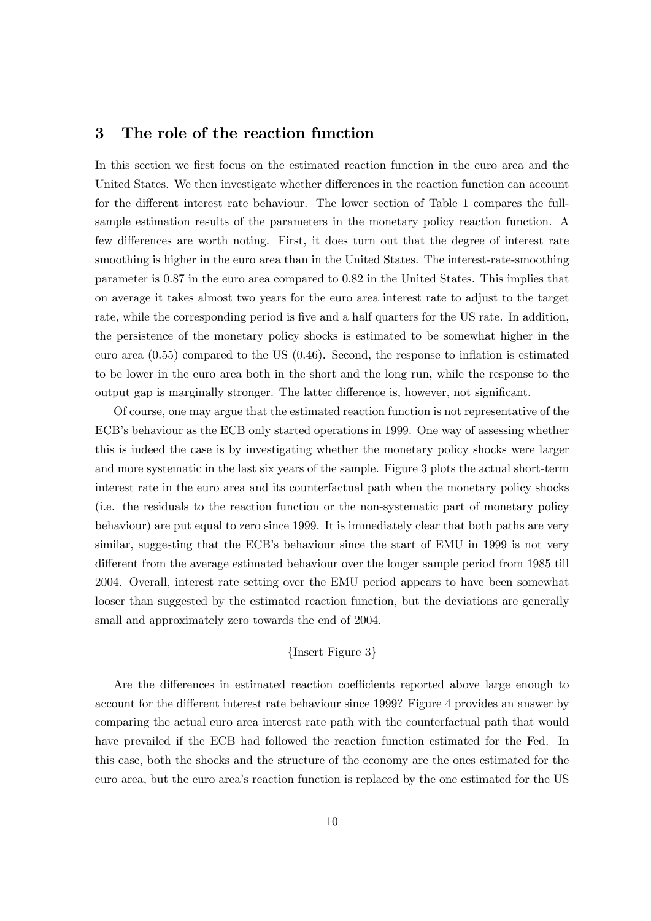#### 3 The role of the reaction function

In this section we first focus on the estimated reaction function in the euro area and the United States. We then investigate whether differences in the reaction function can account for the different interest rate behaviour. The lower section of Table 1 compares the fullsample estimation results of the parameters in the monetary policy reaction function. A few differences are worth noting. First, it does turn out that the degree of interest rate smoothing is higher in the euro area than in the United States. The interest-rate-smoothing parameter is 0.87 in the euro area compared to 0.82 in the United States. This implies that on average it takes almost two years for the euro area interest rate to adjust to the target rate, while the corresponding period is five and a half quarters for the US rate. In addition, the persistence of the monetary policy shocks is estimated to be somewhat higher in the euro area (0.55) compared to the US (0.46). Second, the response to inflation is estimated to be lower in the euro area both in the short and the long run, while the response to the output gap is marginally stronger. The latter difference is, however, not significant.

Of course, one may argue that the estimated reaction function is not representative of the ECB's behaviour as the ECB only started operations in 1999. One way of assessing whether this is indeed the case is by investigating whether the monetary policy shocks were larger and more systematic in the last six years of the sample. Figure 3 plots the actual short-term interest rate in the euro area and its counterfactual path when the monetary policy shocks (i.e. the residuals to the reaction function or the non-systematic part of monetary policy behaviour) are put equal to zero since 1999. It is immediately clear that both paths are very similar, suggesting that the ECB's behaviour since the start of EMU in 1999 is not very different from the average estimated behaviour over the longer sample period from 1985 till 2004. Overall, interest rate setting over the EMU period appears to have been somewhat looser than suggested by the estimated reaction function, but the deviations are generally small and approximately zero towards the end of 2004.

#### {Insert Figure 3}

Are the differences in estimated reaction coefficients reported above large enough to account for the different interest rate behaviour since 1999? Figure 4 provides an answer by comparing the actual euro area interest rate path with the counterfactual path that would have prevailed if the ECB had followed the reaction function estimated for the Fed. In this case, both the shocks and the structure of the economy are the ones estimated for the euro area, but the euro area's reaction function is replaced by the one estimated for the US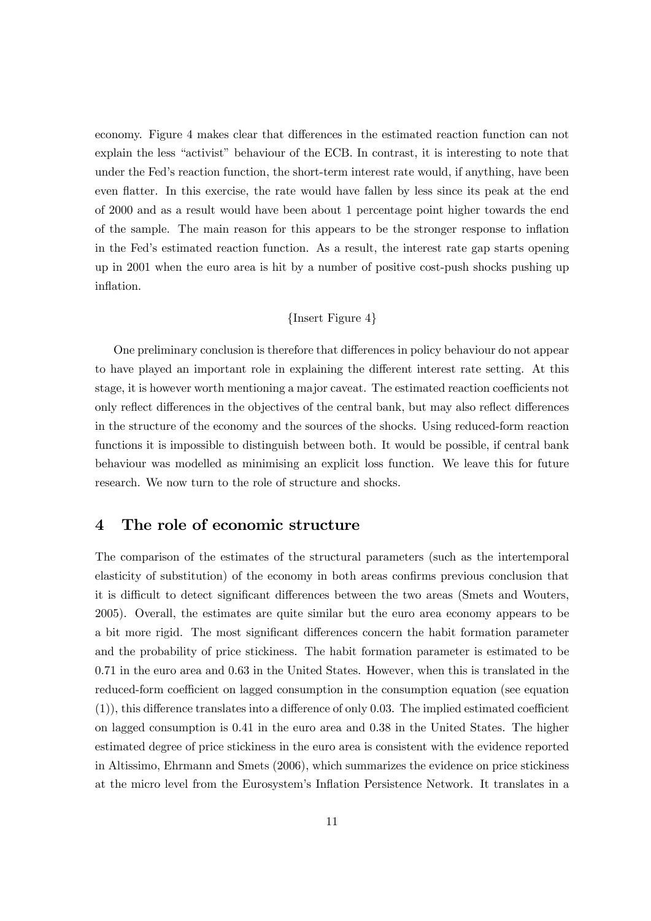economy. Figure 4 makes clear that differences in the estimated reaction function can not explain the less "activist" behaviour of the ECB. In contrast, it is interesting to note that under the Fed's reaction function, the short-term interest rate would, if anything, have been even flatter. In this exercise, the rate would have fallen by less since its peak at the end of 2000 and as a result would have been about 1 percentage point higher towards the end of the sample. The main reason for this appears to be the stronger response to inflation in the Fed's estimated reaction function. As a result, the interest rate gap starts opening up in 2001 when the euro area is hit by a number of positive cost-push shocks pushing up inflation.

#### {Insert Figure 4}

One preliminary conclusion is therefore that differences in policy behaviour do not appear to have played an important role in explaining the different interest rate setting. At this stage, it is however worth mentioning a major caveat. The estimated reaction coefficients not only reflect differences in the objectives of the central bank, but may also reflect differences in the structure of the economy and the sources of the shocks. Using reduced-form reaction functions it is impossible to distinguish between both. It would be possible, if central bank behaviour was modelled as minimising an explicit loss function. We leave this for future research. We now turn to the role of structure and shocks.

#### 4 The role of economic structure

The comparison of the estimates of the structural parameters (such as the intertemporal elasticity of substitution) of the economy in both areas confirms previous conclusion that it is difficult to detect significant differences between the two areas (Smets and Wouters, 2005). Overall, the estimates are quite similar but the euro area economy appears to be a bit more rigid. The most significant differences concern the habit formation parameter and the probability of price stickiness. The habit formation parameter is estimated to be 0.71 in the euro area and 0.63 in the United States. However, when this is translated in the reduced-form coefficient on lagged consumption in the consumption equation (see equation (1)), this difference translates into a difference of only 0.03. The implied estimated coefficient on lagged consumption is 0.41 in the euro area and 0.38 in the United States. The higher estimated degree of price stickiness in the euro area is consistent with the evidence reported in Altissimo, Ehrmann and Smets (2006), which summarizes the evidence on price stickiness at the micro level from the Eurosystem's Inflation Persistence Network. It translates in a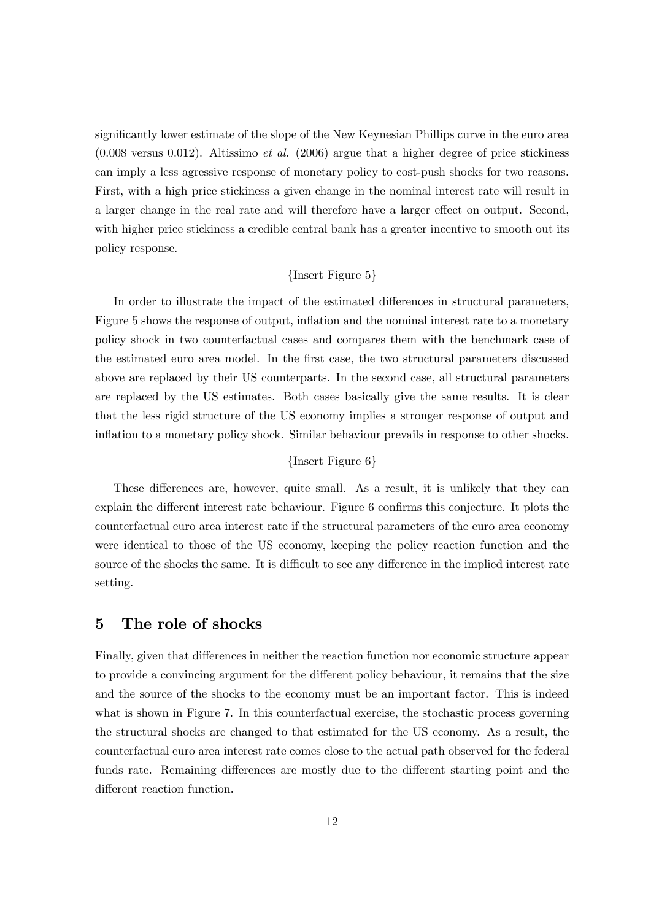significantly lower estimate of the slope of the New Keynesian Phillips curve in the euro area  $(0.008 \text{ versus } 0.012)$ . Altissimo *et al.*  $(2006)$  argue that a higher degree of price stickiness can imply a less agressive response of monetary policy to cost-push shocks for two reasons. First, with a high price stickiness a given change in the nominal interest rate will result in a larger change in the real rate and will therefore have a larger effect on output. Second, with higher price stickiness a credible central bank has a greater incentive to smooth out its policy response.

#### {Insert Figure 5}

In order to illustrate the impact of the estimated differences in structural parameters, Figure 5 shows the response of output, inflation and the nominal interest rate to a monetary policy shock in two counterfactual cases and compares them with the benchmark case of the estimated euro area model. In the first case, the two structural parameters discussed above are replaced by their US counterparts. In the second case, all structural parameters are replaced by the US estimates. Both cases basically give the same results. It is clear that the less rigid structure of the US economy implies a stronger response of output and inflation to a monetary policy shock. Similar behaviour prevails in response to other shocks.

#### {Insert Figure 6}

These differences are, however, quite small. As a result, it is unlikely that they can explain the different interest rate behaviour. Figure 6 confirms this conjecture. It plots the counterfactual euro area interest rate if the structural parameters of the euro area economy were identical to those of the US economy, keeping the policy reaction function and the source of the shocks the same. It is difficult to see any difference in the implied interest rate setting.

#### 5 The role of shocks

Finally, given that differences in neither the reaction function nor economic structure appear to provide a convincing argument for the different policy behaviour, it remains that the size and the source of the shocks to the economy must be an important factor. This is indeed what is shown in Figure 7. In this counterfactual exercise, the stochastic process governing the structural shocks are changed to that estimated for the US economy. As a result, the counterfactual euro area interest rate comes close to the actual path observed for the federal funds rate. Remaining differences are mostly due to the different starting point and the different reaction function.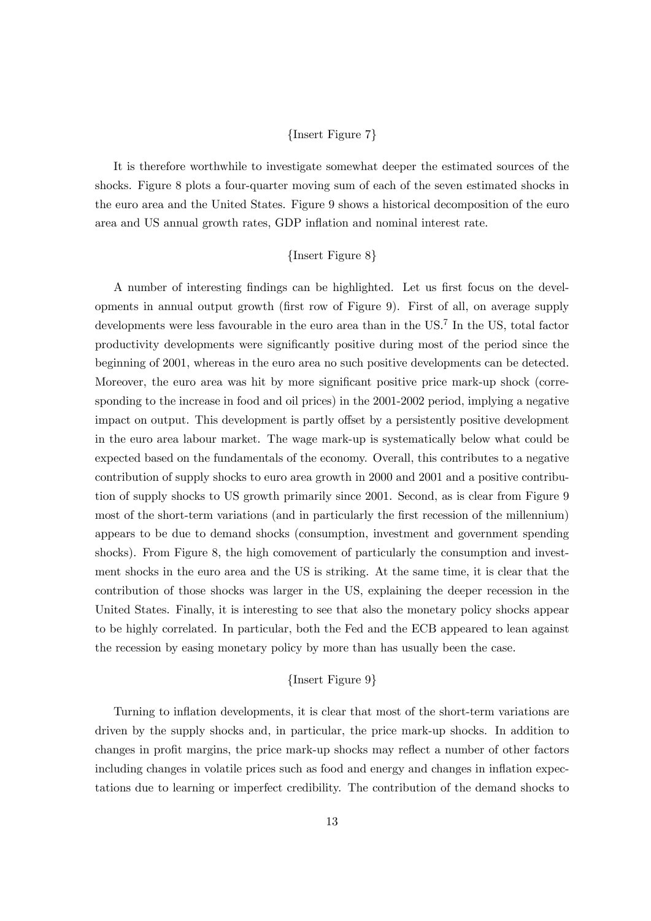#### {Insert Figure 7}

It is therefore worthwhile to investigate somewhat deeper the estimated sources of the shocks. Figure 8 plots a four-quarter moving sum of each of the seven estimated shocks in the euro area and the United States. Figure 9 shows a historical decomposition of the euro area and US annual growth rates, GDP inflation and nominal interest rate.

#### {Insert Figure 8}

A number of interesting findings can be highlighted. Let us first focus on the developments in annual output growth (first row of Figure 9). First of all, on average supply developments were less favourable in the euro area than in the US.<sup>7</sup> In the US, total factor productivity developments were significantly positive during most of the period since the beginning of 2001, whereas in the euro area no such positive developments can be detected. Moreover, the euro area was hit by more significant positive price mark-up shock (corresponding to the increase in food and oil prices) in the 2001-2002 period, implying a negative impact on output. This development is partly offset by a persistently positive development in the euro area labour market. The wage mark-up is systematically below what could be expected based on the fundamentals of the economy. Overall, this contributes to a negative contribution of supply shocks to euro area growth in 2000 and 2001 and a positive contribution of supply shocks to US growth primarily since 2001. Second, as is clear from Figure 9 most of the short-term variations (and in particularly the first recession of the millennium) appears to be due to demand shocks (consumption, investment and government spending shocks). From Figure 8, the high comovement of particularly the consumption and investment shocks in the euro area and the US is striking. At the same time, it is clear that the contribution of those shocks was larger in the US, explaining the deeper recession in the United States. Finally, it is interesting to see that also the monetary policy shocks appear to be highly correlated. In particular, both the Fed and the ECB appeared to lean against the recession by easing monetary policy by more than has usually been the case.

#### {Insert Figure 9}

Turning to inflation developments, it is clear that most of the short-term variations are driven by the supply shocks and, in particular, the price mark-up shocks. In addition to changes in profit margins, the price mark-up shocks may reflect a number of other factors including changes in volatile prices such as food and energy and changes in inflation expectations due to learning or imperfect credibility. The contribution of the demand shocks to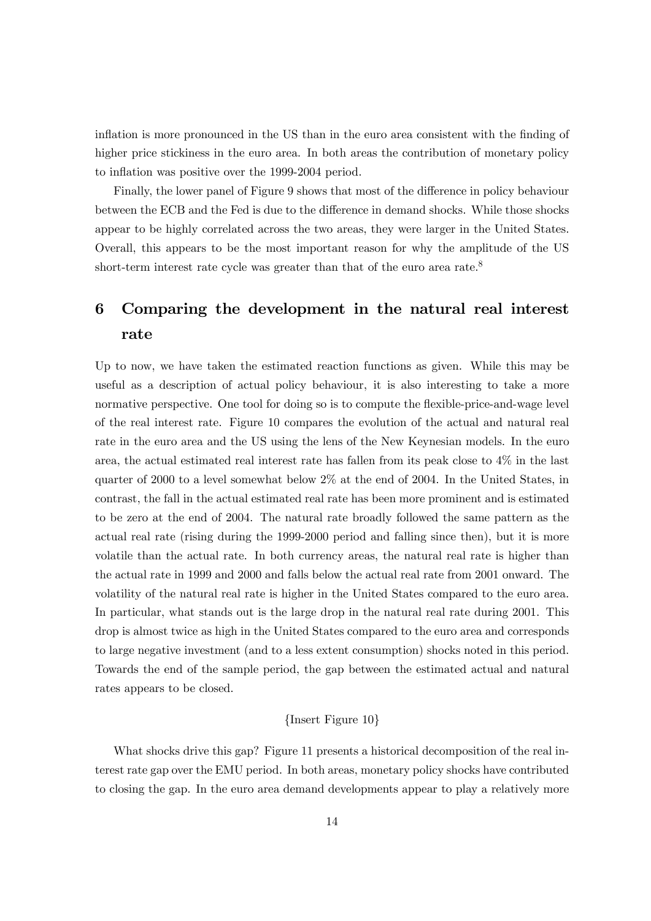inflation is more pronounced in the US than in the euro area consistent with the finding of higher price stickiness in the euro area. In both areas the contribution of monetary policy to inflation was positive over the 1999-2004 period.

Finally, the lower panel of Figure 9 shows that most of the difference in policy behaviour between the ECB and the Fed is due to the difference in demand shocks. While those shocks appear to be highly correlated across the two areas, they were larger in the United States. Overall, this appears to be the most important reason for why the amplitude of the US short-term interest rate cycle was greater than that of the euro area rate.<sup>8</sup>

# 6 Comparing the development in the natural real interest rate

Up to now, we have taken the estimated reaction functions as given. While this may be useful as a description of actual policy behaviour, it is also interesting to take a more normative perspective. One tool for doing so is to compute the flexible-price-and-wage level of the real interest rate. Figure 10 compares the evolution of the actual and natural real rate in the euro area and the US using the lens of the New Keynesian models. In the euro area, the actual estimated real interest rate has fallen from its peak close to 4% in the last quarter of 2000 to a level somewhat below 2% at the end of 2004. In the United States, in contrast, the fall in the actual estimated real rate has been more prominent and is estimated to be zero at the end of 2004. The natural rate broadly followed the same pattern as the actual real rate (rising during the 1999-2000 period and falling since then), but it is more volatile than the actual rate. In both currency areas, the natural real rate is higher than the actual rate in 1999 and 2000 and falls below the actual real rate from 2001 onward. The volatility of the natural real rate is higher in the United States compared to the euro area. In particular, what stands out is the large drop in the natural real rate during 2001. This drop is almost twice as high in the United States compared to the euro area and corresponds to large negative investment (and to a less extent consumption) shocks noted in this period. Towards the end of the sample period, the gap between the estimated actual and natural rates appears to be closed.

#### {Insert Figure 10}

What shocks drive this gap? Figure 11 presents a historical decomposition of the real interest rate gap over the EMU period. In both areas, monetary policy shocks have contributed to closing the gap. In the euro area demand developments appear to play a relatively more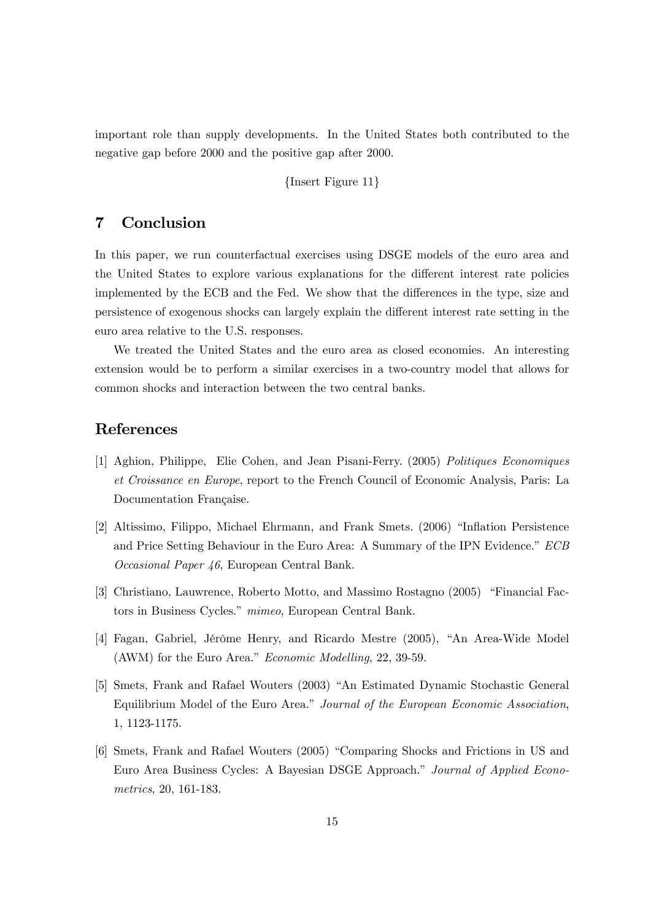important role than supply developments. In the United States both contributed to the negative gap before 2000 and the positive gap after 2000.

{Insert Figure 11}

#### 7 Conclusion

In this paper, we run counterfactual exercises using DSGE models of the euro area and the United States to explore various explanations for the different interest rate policies implemented by the ECB and the Fed. We show that the differences in the type, size and persistence of exogenous shocks can largely explain the different interest rate setting in the euro area relative to the U.S. responses.

We treated the United States and the euro area as closed economies. An interesting extension would be to perform a similar exercises in a two-country model that allows for common shocks and interaction between the two central banks.

#### References

- [1] Aghion, Philippe, Elie Cohen, and Jean Pisani-Ferry. (2005) Politiques Economiques et Croissance en Europe, report to the French Council of Economic Analysis, Paris: La Documentation Française.
- [2] Altissimo, Filippo, Michael Ehrmann, and Frank Smets. (2006) "Inflation Persistence and Price Setting Behaviour in the Euro Area: A Summary of the IPN Evidence." ECB Occasional Paper 46, European Central Bank.
- [3] Christiano, Lauwrence, Roberto Motto, and Massimo Rostagno (2005) "Financial Factors in Business Cycles." mimeo, European Central Bank.
- [4] Fagan, Gabriel, Jérôme Henry, and Ricardo Mestre (2005), "An Area-Wide Model (AWM) for the Euro Area." Economic Modelling, 22, 39-59.
- [5] Smets, Frank and Rafael Wouters (2003) "An Estimated Dynamic Stochastic General Equilibrium Model of the Euro Area." Journal of the European Economic Association, 1, 1123-1175.
- [6] Smets, Frank and Rafael Wouters (2005) "Comparing Shocks and Frictions in US and Euro Area Business Cycles: A Bayesian DSGE Approach." Journal of Applied Econometrics, 20, 161-183.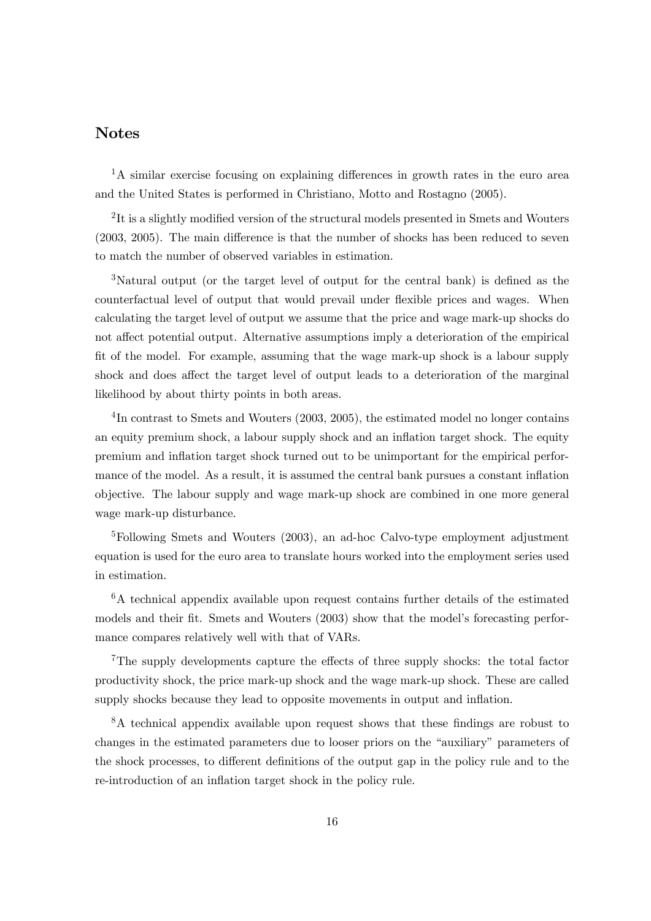#### Notes

1A similar exercise focusing on explaining differences in growth rates in the euro area and the United States is performed in Christiano, Motto and Rostagno (2005).

2It is a slightly modified version of the structural models presented in Smets and Wouters (2003, 2005). The main difference is that the number of shocks has been reduced to seven to match the number of observed variables in estimation.

3Natural output (or the target level of output for the central bank) is defined as the counterfactual level of output that would prevail under flexible prices and wages. When calculating the target level of output we assume that the price and wage mark-up shocks do not affect potential output. Alternative assumptions imply a deterioration of the empirical fit of the model. For example, assuming that the wage mark-up shock is a labour supply shock and does affect the target level of output leads to a deterioration of the marginal likelihood by about thirty points in both areas.

<sup>4</sup>In contrast to Smets and Wouters (2003, 2005), the estimated model no longer contains an equity premium shock, a labour supply shock and an inflation target shock. The equity premium and inflation target shock turned out to be unimportant for the empirical performance of the model. As a result, it is assumed the central bank pursues a constant inflation objective. The labour supply and wage mark-up shock are combined in one more general wage mark-up disturbance.

5Following Smets and Wouters (2003), an ad-hoc Calvo-type employment adjustment equation is used for the euro area to translate hours worked into the employment series used in estimation.

6A technical appendix available upon request contains further details of the estimated models and their fit. Smets and Wouters (2003) show that the model's forecasting performance compares relatively well with that of VARs.

<sup>7</sup>The supply developments capture the effects of three supply shocks: the total factor productivity shock, the price mark-up shock and the wage mark-up shock. These are called supply shocks because they lead to opposite movements in output and inflation.

8A technical appendix available upon request shows that these findings are robust to changes in the estimated parameters due to looser priors on the "auxiliary" parameters of the shock processes, to different definitions of the output gap in the policy rule and to the re-introduction of an inflation target shock in the policy rule.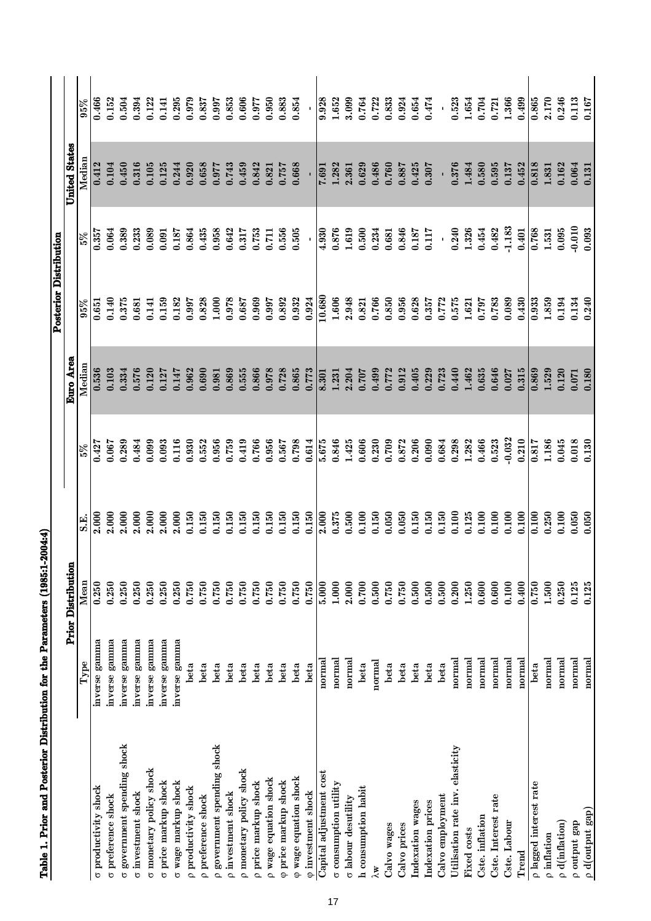|                                  |               |                           |       |          |           | <b>Posterior Distribution</b> |          |                      |       |
|----------------------------------|---------------|---------------------------|-------|----------|-----------|-------------------------------|----------|----------------------|-------|
|                                  |               | <b>Prior Distribution</b> |       |          | Euro Area |                               |          | <b>United States</b> |       |
|                                  | ${\bf Type}$  | Mean                      | S.E.  | 5%       | Median    | 95%                           | 5%       | Median               | 95%   |
| σ productivity shock             | inverse gamma | 0.250                     | 2.000 | 0.427    | 0.536     | 0.651                         | 0.357    | 0.412                | 0.466 |
| σ preference shock               | inverse gamma | 0.250                     | 2.000 | 0.067    | 0.103     | 0.140                         | 0.064    | 0.104                | 0.152 |
| government spending shock        | inverse gamma | 0.250                     | 2.000 | 0.289    | 0.334     | 0.375                         | 0.389    | 0.450                | 0.504 |
| <b>o</b> investment shock        | inverse gamma | 0.250                     | 2.000 | 0.484    | 0.576     | 0.681                         | 0.233    | 0.316                | 0.394 |
| σ monetary policy shock          | inverse gamma | 0.250                     | 2.000 | 0.099    | 0.120     | 0.141                         | 0.089    | 0.105                | 0.122 |
| σ price markup shock             | inverse gamma | 0.250                     | 2.000 | 0.093    | 0.127     | 0.159                         | 0.091    | 0.125                | 0.141 |
| o wage markup shock              | inverse gamma | 0.250                     | 2.000 | 0.116    | 0.147     | 0.182                         | 0.187    | 0.244                | 0.295 |
| p productivity shock             | beta          | 0.750                     | 0.150 | 0.930    | 0.962     | 0.997                         | 0.864    | 0.920                | 0.979 |
| p preference shock               | beta          | 0.750                     | 0.150 | 0.552    | 0.690     | 0.828                         | 0.435    | 0.658                | 0.837 |
| government spending shock        | beta          | 0.750                     | 0.150 | 0.956    | 0.981     | 1.000                         | 0.958    | 0.977                | 0.997 |
| p investment shock               | beta          | 0.750                     | 0.150 | 0.759    | 0.869     | 0.978                         | 0.642    | 0.743                | 0.853 |
| p monetary policy shock          | beta          | 0.750                     | 0.150 | 0.419    | 0.555     | 0.687                         | 0.317    | 0.459                | 0.606 |
| $\rho$ price markup shock        | beta          | 0.750                     | 0.150 | 0.766    | 0.866     | 0.969                         | 0.753    | 0.842                | 0.977 |
| p wage equation shock            | beta          | 0.750                     | 0.150 | 0.956    | 0.978     | 0.997                         | 0.711    | 0.821                | 0.950 |
| o price markup shock             | beta          | 0.750                     | 0.150 | 0.567    | 0.728     | 0.892                         | 0.556    | 0.757                | 0.883 |
| $\phi$ wage equation shock       | beta          | 0.750                     | 0.150 | 0.798    | 0.865     | 0.932                         | 0.505    | 0.668                | 0.854 |
| <b>o</b> investment shock        | beta          | 0.750                     | 0.150 | 0.614    | 0.773     | 0.924                         |          |                      |       |
| Capital adjustment cost          | normal        | 5.000                     | 2.000 | 5.675    | 8.301     | 10.680                        | 4.930    | 7.691                | 9.928 |
| σ consumption utility            | normal        | 1.000                     | 0.375 | 0.846    | 1.231     | 1.606                         | 0.876    | 1.282                | 1.652 |
| σ labour desutility              | normal        | 2.000                     | 0.500 | 1.425    | 2.204     | 2.948                         | 1.619    | 2.361                | 3.099 |
| h consumption habit              | beta          | 0.700                     | 0.100 | 0.606    | 0.707     | 0.821                         | 0.500    | 0.629                | 0.764 |
|                                  | normal        | 0.500                     | 0.150 | 0.230    | 0.499     | 0.766                         | 0.234    | 0.486                | 0.722 |
|                                  | beta          | 0.750                     | 0.050 | 0.709    | 0.772     | 0.850                         | 0.681    | 0.760                | 0.833 |
|                                  | beta          | 0.750                     | 0.050 | 0.872    | 0.912     | 0.956                         | 0.846    | 0.887                | 0.924 |
| Indexation wages                 | beta          | 0.500                     | 0.150 | 0.206    | 0.405     | 0.628                         | 0.187    | 0.425                | 0.654 |
| Indexation prices                | beta          | 0.500                     | 0.150 | 0.090    | 0.229     | 0.357                         | 0.117    | 0.307                | 0.474 |
| Calvo employment                 | beta          | 0.500                     | 0.150 | 0.684    | 0.723     | 0.772                         |          |                      |       |
| Utilisation rate inv. elasticity | normal        | 0.200                     | 0.100 | 0.298    | 0.440     | 0.575                         | 0.240    | 0.376                | 0.523 |
|                                  | normal        | 1.250                     | 0.125 | 1.282    | 1.462     | 1.621                         | 1.326    | 1.484                | 1.654 |
| Cste. inflation                  | normal        | 0.600                     | 0.100 | 0.466    | 0.635     | 162.0                         | 0.454    | 0.580                | 0.704 |
| Cste. Interest rate              | normal        | 0.600                     | 0.100 | 0.523    | 0.646     | 0.783                         | 0.482    | 0.595                | 0.721 |
|                                  | normal        | 0.100                     | 0.100 | $-0.032$ | 0.027     | 0.089                         | $-1.183$ | 0.137                | 1.366 |
|                                  | normal        | 0.400                     | 0.100 | 0.210    | 0.315     | 0.430                         | 0.401    | 0.452                | 0.499 |
| p lagged interest rate           | beta          | 0.750                     | 0.100 | 0.817    | 0.869     | 0.933                         | 0.768    | 0.818                | 0.865 |
|                                  | normal        | 1.500                     | 0.250 | 1.186    | 1.529     | 1.859                         | 1.531    | 1.831                | 2.170 |
|                                  | normal        | 0.250                     | 0.100 | 0.045    | 0.120     | 0.194                         | 0.095    | 0.162                | 0.246 |
|                                  | normal        | 0.125                     | 0.050 | 0.018    | 0.071     | 0.134                         | $-0.010$ | 0.064                | 0.113 |
| p d(output gap)                  | normal        | 0.125                     | 0.050 | 0.130    | 0.180     | 0.240                         | 0.093    | 0.131                | 0.167 |

# Table 1. Prior and Posterior Distribution for the Parameters (1985:1-2004:4) Table 1. Prior and Posterior Distribution for the Parameters (1985:1-2004:4)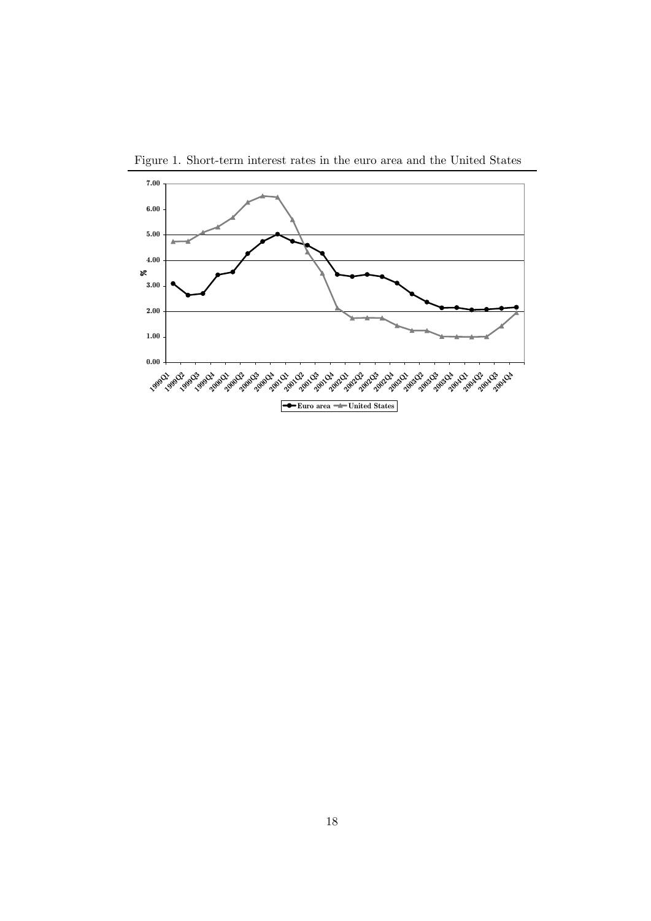

Figure 1. Short-term interest rates in the euro area and the United States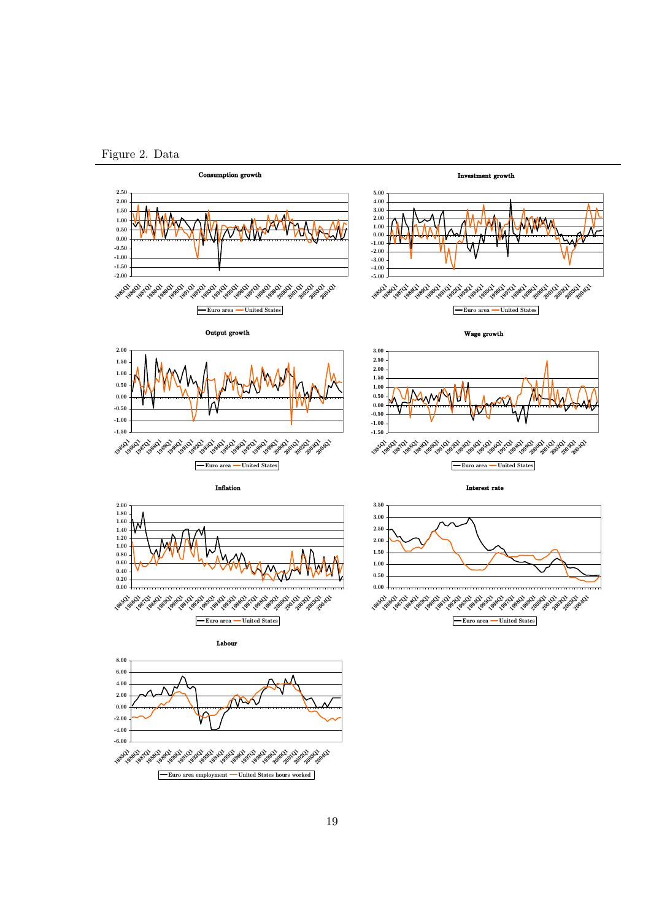

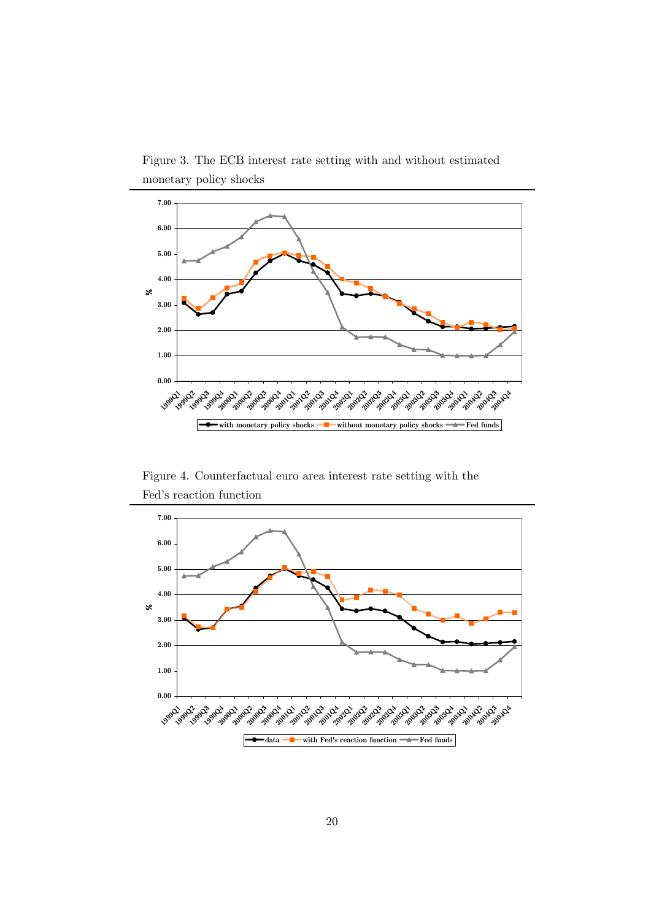

Figure 3. The ECB interest rate setting with and without estimated monetary policy shocks

Figure 4. Counterfactual euro area interest rate setting with the Fed's reaction function

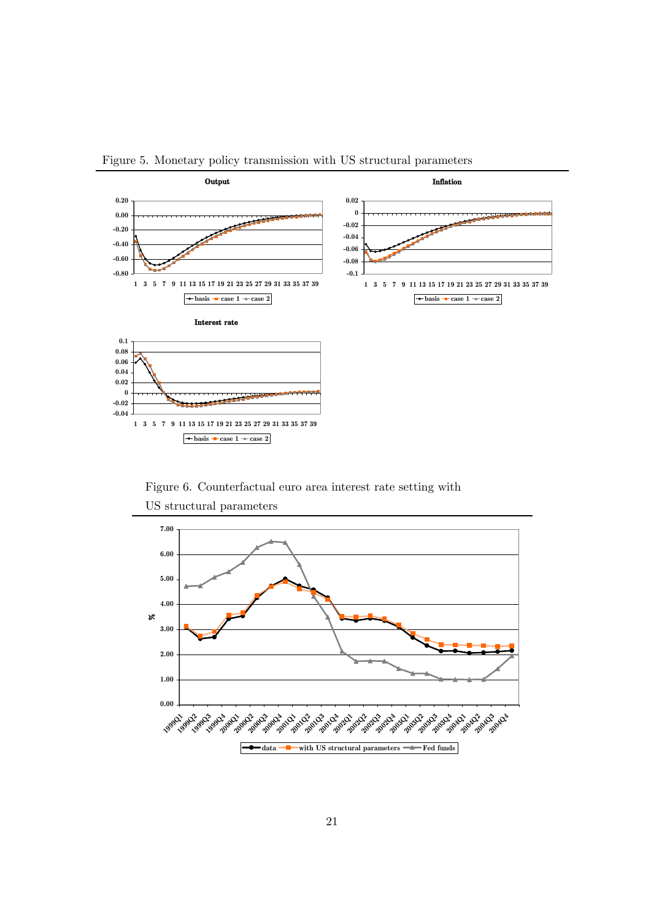

Figure 5. Monetary policy transmission with US structural parameters

Figure 6. Counterfactual euro area interest rate setting with



US structural parameters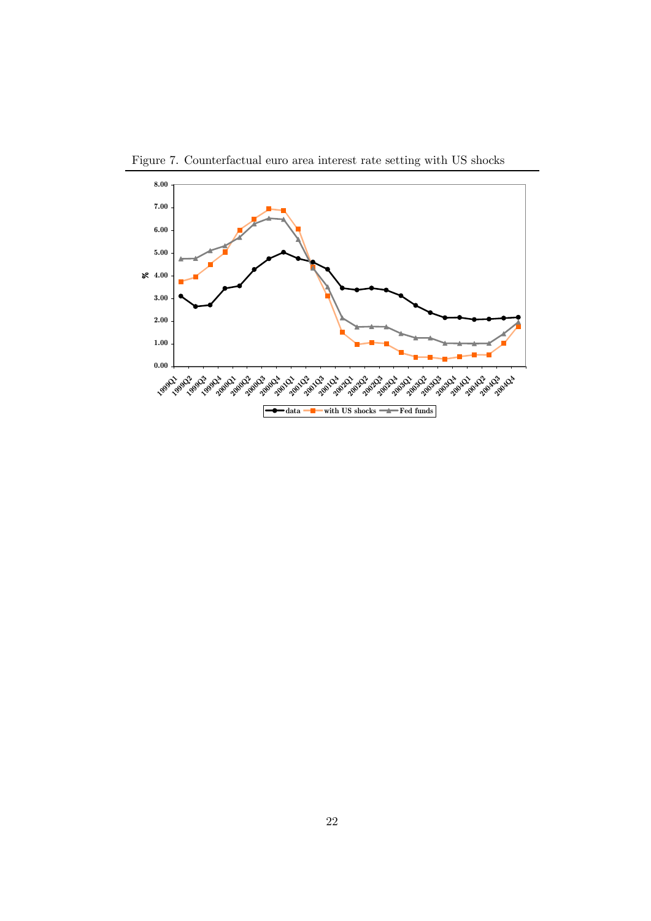

Figure 7. Counterfactual euro area interest rate setting with US shocks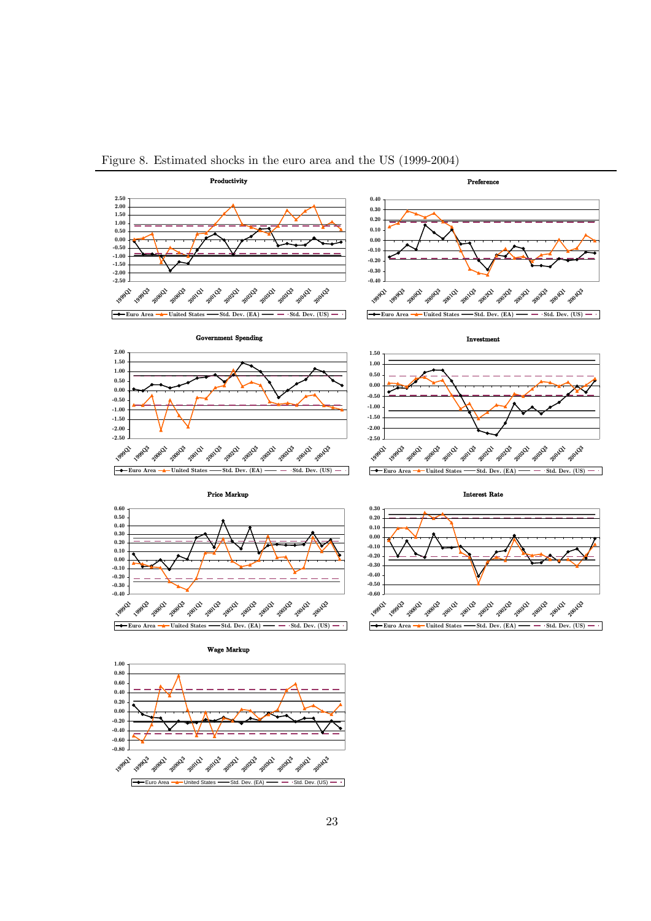

Figure 8. Estimated shocks in the euro area and the US (1999-2004)



















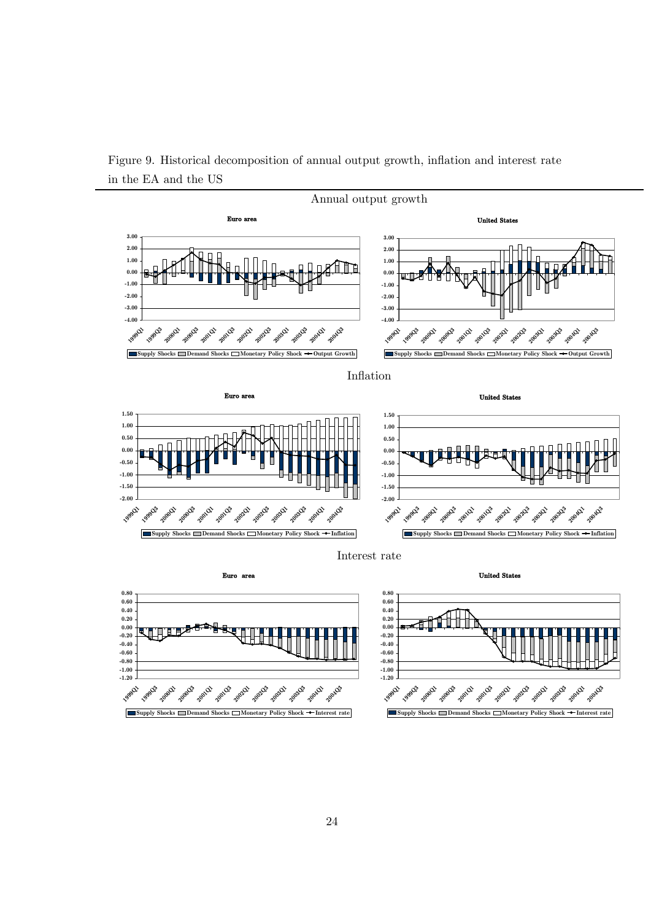Figure 9. Historical decomposition of annual output growth, inflation and interest rate in the EA and the US

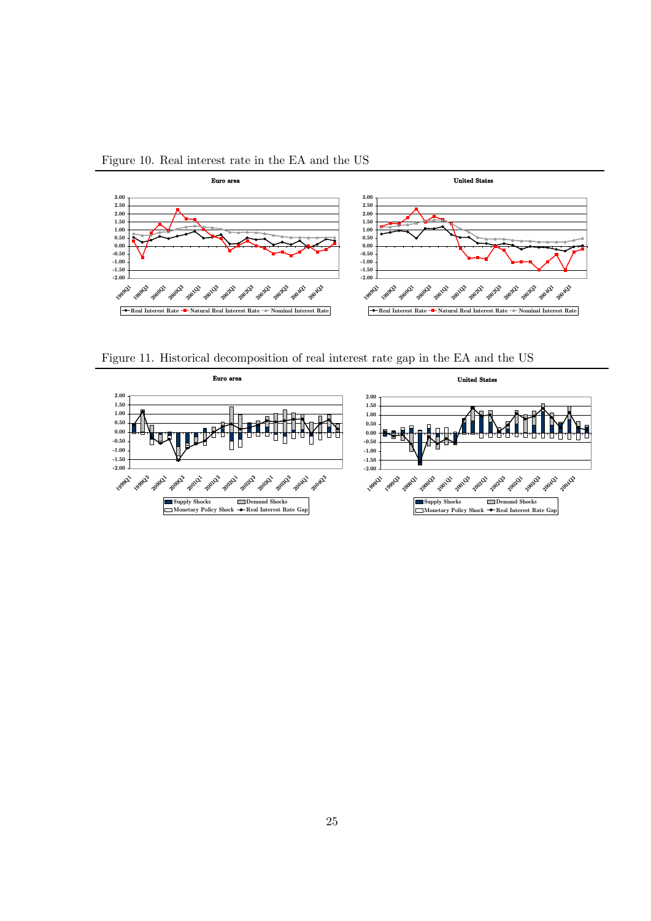Figure 10. Real interest rate in the EA and the US



Figure 11. Historical decomposition of real interest rate gap in the EA and the US

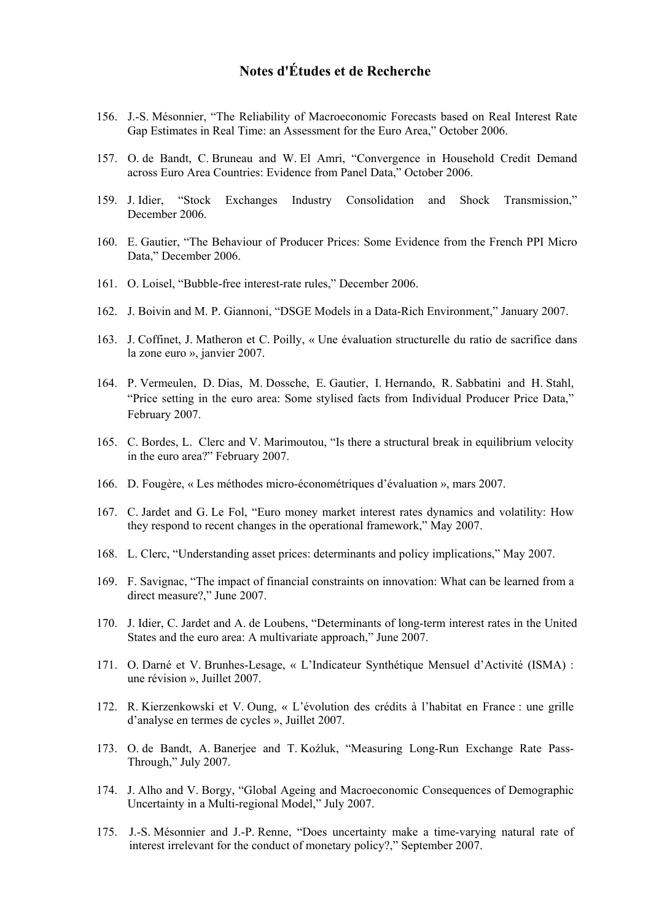#### **Notes d'Études et de Recherche**

- 156. J.-S. Mésonnier, "The Reliability of Macroeconomic Forecasts based on Real Interest Rate Gap Estimates in Real Time: an Assessment for the Euro Area," October 2006.
- 157. O. de Bandt, C. Bruneau and W. El Amri, "Convergence in Household Credit Demand across Euro Area Countries: Evidence from Panel Data," October 2006.
- 159. J. Idier, "Stock Exchanges Industry Consolidation and Shock Transmission," December 2006.
- 160. E. Gautier, "The Behaviour of Producer Prices: Some Evidence from the French PPI Micro Data," December 2006.
- 161. O. Loisel, "Bubble-free interest-rate rules," December 2006.
- 162. J. Boivin and M. P. Giannoni, "DSGE Models in a Data-Rich Environment," January 2007.
- 163. J. Coffinet, J. Matheron et C. Poilly, « Une évaluation structurelle du ratio de sacrifice dans la zone euro », janvier 2007.
- 164. P. Vermeulen, D. Dias, M. Dossche, E. Gautier, I. Hernando, R. Sabbatini and H. Stahl, "Price setting in the euro area: Some stylised facts from Individual Producer Price Data," February 2007.
- 165. C. Bordes, L. Clerc and V. Marimoutou, "Is there a structural break in equilibrium velocity in the euro area?" February 2007.
- 166. D. Fougère, « Les méthodes micro-économétriques d'évaluation », mars 2007.
- 167. C. Jardet and G. Le Fol, "Euro money market interest rates dynamics and volatility: How they respond to recent changes in the operational framework," May 2007.
- 168. L. Clerc, "Understanding asset prices: determinants and policy implications," May 2007.
- 169. F. Savignac, "The impact of financial constraints on innovation: What can be learned from a direct measure?," June 2007.
- 170. J. Idier, C. Jardet and A. de Loubens, "Determinants of long-term interest rates in the United States and the euro area: A multivariate approach," June 2007.
- 171. O. Darné et V. Brunhes-Lesage, « L'Indicateur Synthétique Mensuel d'Activité (ISMA) : une révision », Juillet 2007.
- 172. R. Kierzenkowski et V. Oung, « L'évolution des crédits à l'habitat en France : une grille d'analyse en termes de cycles », Juillet 2007.
- 173. O. de Bandt, A. Banerjee and T. Koźluk, "Measuring Long-Run Exchange Rate Pass-Through," July 2007.
- 174. J. Alho and V. Borgy, "Global Ageing and Macroeconomic Consequences of Demographic Uncertainty in a Multi-regional Model," July 2007.
- 175. J.-S. Mésonnier and J.-P. Renne, "Does uncertainty make a time-varying natural rate of interest irrelevant for the conduct of monetary policy?," September 2007.